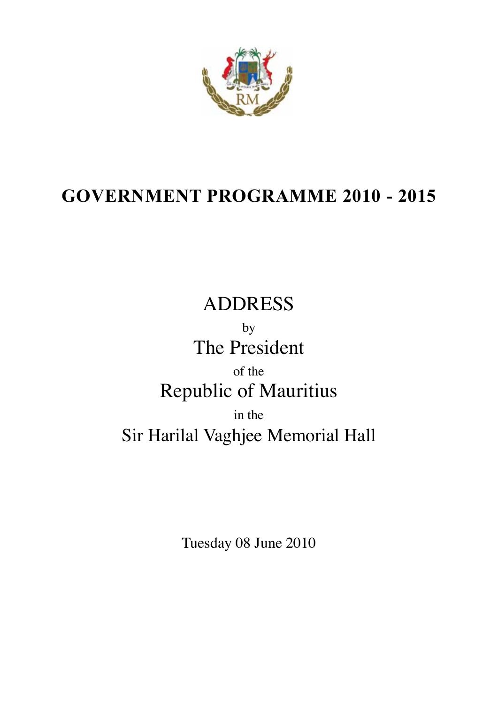

## **GOVERNMENT PROGRAMME 2010 - 2015**

# ADDRESS by The President of the Republic of Mauritius in the Sir Harilal Vaghjee Memorial Hall

Tuesday 08 June 2010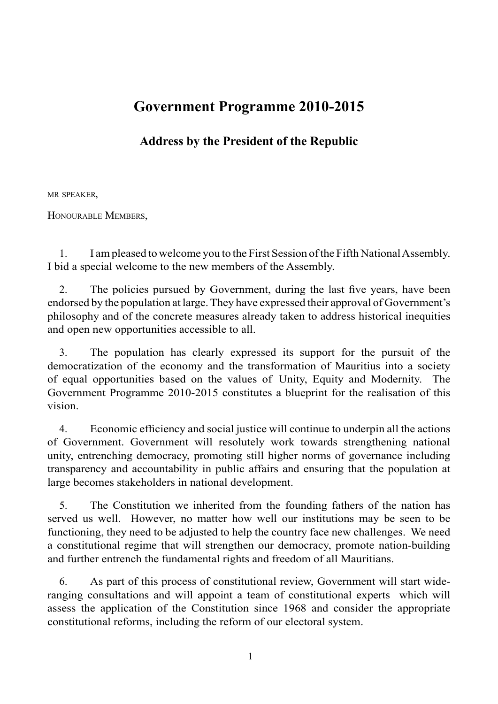### **Government Programme 2010-2015**

**Address by the President of the Republic**

mr speaker,

Honourable Members,

1. I am pleased to welcome you to the First Session of the Fifth National Assembly. I bid a special welcome to the new members of the Assembly.

2. The policies pursued by Government, during the last five years, have been endorsed by the population at large.They have expressed their approval of Government's philosophy and of the concrete measures already taken to address historical inequities and open new opportunities accessible to all.

3. The population has clearly expressed its support for the pursuit of the democratization of the economy and the transformation of Mauritius into a society of equal opportunities based on the values of Unity, Equity and Modernity. The Government Programme 2010-2015 constitutes a blueprint for the realisation of this vision.

4. Economic efficiency and social justice will continue to underpin all the actions of Government. Government will resolutely work towards strengthening national unity, entrenching democracy, promoting still higher norms of governance including transparency and accountability in public affairs and ensuring that the population at large becomes stakeholders in national development.

5. The Constitution we inherited from the founding fathers of the nation has served us well. However, no matter how well our institutions may be seen to be functioning, they need to be adjusted to help the country face new challenges. We need a constitutional regime that will strengthen our democracy, promote nation-building and further entrench the fundamental rights and freedom of all Mauritians.

6. As part of this process of constitutional review, Government will start wideranging consultations and will appoint a team of constitutional experts which will assess the application of the Constitution since 1968 and consider the appropriate constitutional reforms, including the reform of our electoral system.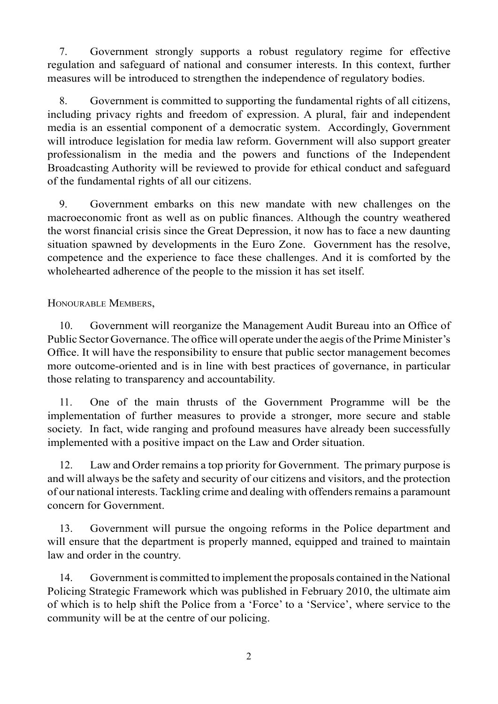7. Government strongly supports a robust regulatory regime for effective regulation and safeguard of national and consumer interests. In this context, further measures will be introduced to strengthen the independence of regulatory bodies.

8. Government is committed to supporting the fundamental rights of all citizens, including privacy rights and freedom of expression. A plural, fair and independent media is an essential component of a democratic system. Accordingly, Government will introduce legislation for media law reform. Government will also support greater professionalism in the media and the powers and functions of the Independent Broadcasting Authority will be reviewed to provide for ethical conduct and safeguard of the fundamental rights of all our citizens.

9. Government embarks on this new mandate with new challenges on the macroeconomic front as well as on public finances. Although the country weathered the worst financial crisis since the Great Depression, it now has to face a new daunting situation spawned by developments in the Euro Zone. Government has the resolve, competence and the experience to face these challenges. And it is comforted by the wholehearted adherence of the people to the mission it has set itself.

Honourable Members,

10. Government will reorganize the Management Audit Bureau into an Office of Public Sector Governance. The office will operate under the aegis of the Prime Minister's Office. It will have the responsibility to ensure that public sector management becomes more outcome-oriented and is in line with best practices of governance, in particular those relating to transparency and accountability.

11. One of the main thrusts of the Government Programme will be the implementation of further measures to provide a stronger, more secure and stable society. In fact, wide ranging and profound measures have already been successfully implemented with a positive impact on the Law and Order situation.

12. Law and Order remains a top priority for Government. The primary purpose is and will always be the safety and security of our citizens and visitors, and the protection of our national interests. Tackling crime and dealing with offendersremains a paramount concern for Government.

13. Government will pursue the ongoing reforms in the Police department and will ensure that the department is properly manned, equipped and trained to maintain law and order in the country.

14. Government is committed to implement the proposals contained in the National Policing Strategic Framework which was published in February 2010, the ultimate aim of which is to help shift the Police from a 'Force' to a 'Service', where service to the community will be at the centre of our policing.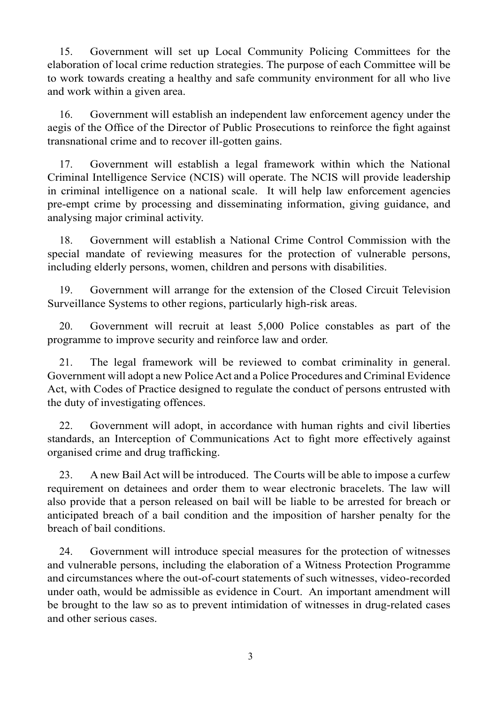15. Government will set up Local Community Policing Committees for the elaboration of local crime reduction strategies. The purpose of each Committee will be to work towards creating a healthy and safe community environment for all who live and work within a given area.

16. Government will establish an independent law enforcement agency under the aegis of the Office of the Director of Public Prosecutions to reinforce the fight against transnational crime and to recover ill-gotten gains.

17. Government will establish a legal framework within which the National Criminal Intelligence Service (NCIS) will operate. The NCIS will provide leadership in criminal intelligence on a national scale. It will help law enforcement agencies pre-empt crime by processing and disseminating information, giving guidance, and analysing major criminal activity.

18. Government will establish a National Crime Control Commission with the special mandate of reviewing measures for the protection of vulnerable persons, including elderly persons, women, children and persons with disabilities.

19. Government will arrange for the extension of the Closed Circuit Television Surveillance Systems to other regions, particularly high-risk areas.

20. Government will recruit at least 5,000 Police constables as part of the programme to improve security and reinforce law and order.

21. The legal framework will be reviewed to combat criminality in general. Government will adopt a new PoliceAct and a Police Procedures and Criminal Evidence Act, with Codes of Practice designed to regulate the conduct of persons entrusted with the duty of investigating offences.

22. Government will adopt, in accordance with human rights and civil liberties standards, an Interception of Communications Act to fight more effectively against organised crime and drug trafficking.

23. A new Bail Act will be introduced. The Courts will be able to impose a curfew requirement on detainees and order them to wear electronic bracelets. The law will also provide that a person released on bail will be liable to be arrested for breach or anticipated breach of a bail condition and the imposition of harsher penalty for the breach of bail conditions.

24. Government will introduce special measures for the protection of witnesses and vulnerable persons, including the elaboration of a Witness Protection Programme and circumstances where the out-of-court statements of such witnesses, video-recorded under oath, would be admissible as evidence in Court. An important amendment will be brought to the law so as to prevent intimidation of witnesses in drug-related cases and other serious cases.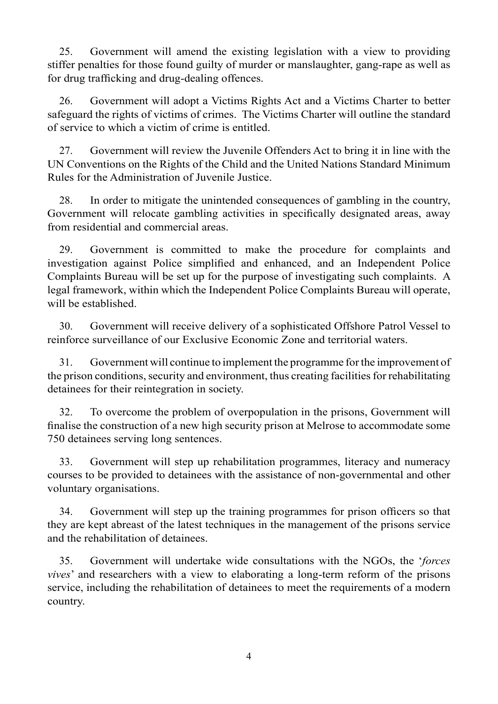25. Government will amend the existing legislation with a view to providing stiffer penalties for those found guilty of murder or manslaughter, gang-rape as well as for drug trafficking and drug-dealing offences.

26. Government will adopt a Victims Rights Act and a Victims Charter to better safeguard the rights of victims of crimes. The Victims Charter will outline the standard of service to which a victim of crime is entitled.

27. Government will review the Juvenile Offenders Act to bring it in line with the UN Conventions on the Rights of the Child and the United Nations Standard Minimum Rules for the Administration of Juvenile Justice.

28. In order to mitigate the unintended consequences of gambling in the country, Government will relocate gambling activities in specifically designated areas, away from residential and commercial areas.

29. Government is committed to make the procedure for complaints and investigation against Police simplified and enhanced, and an Independent Police Complaints Bureau will be set up for the purpose of investigating such complaints. A legal framework, within which the Independent Police Complaints Bureau will operate, will be established.

30. Government will receive delivery of a sophisticated Offshore Patrol Vessel to reinforce surveillance of our Exclusive Economic Zone and territorial waters.

31. Government will continue to implement the programme for the improvement of the prison conditions, security and environment, thus creating facilities for rehabilitating detainees for their reintegration in society.

32. To overcome the problem of overpopulation in the prisons, Government will finalise the construction of a new high security prison at Melrose to accommodate some 750 detainees serving long sentences.

33. Government will step up rehabilitation programmes, literacy and numeracy courses to be provided to detainees with the assistance of non-governmental and other voluntary organisations.

34. Government will step up the training programmes for prison officers so that they are kept abreast of the latest techniques in the management of the prisons service and the rehabilitation of detainees.

35. Government will undertake wide consultations with the NGOs, the '*forces vives*' and researchers with a view to elaborating a long-term reform of the prisons service, including the rehabilitation of detainees to meet the requirements of a modern country.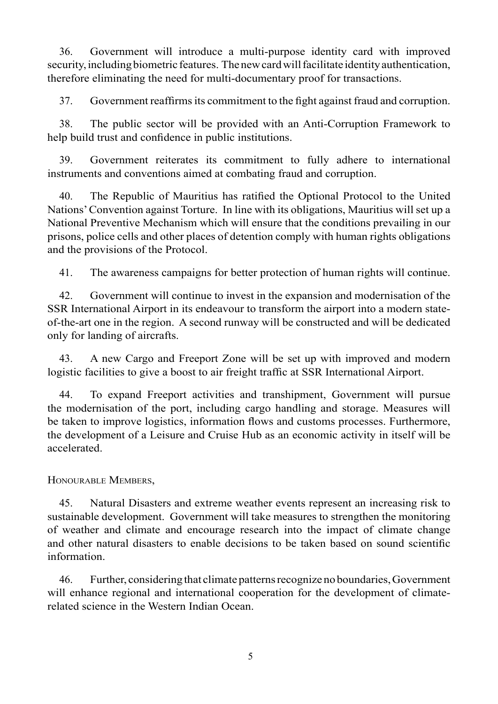36. Government will introduce a multi-purpose identity card with improved security, including biometric features. The new card will facilitate identity authentication, therefore eliminating the need for multi-documentary proof for transactions.

37. Government reaffirms its commitment to the fight against fraud and corruption.

38. The public sector will be provided with an Anti-Corruption Framework to help build trust and confidence in public institutions.

39. Government reiterates its commitment to fully adhere to international instruments and conventions aimed at combating fraud and corruption.

40. The Republic of Mauritius has ratified the Optional Protocol to the United Nations'Convention against Torture. In line with its obligations, Mauritius will set up a National Preventive Mechanism which will ensure that the conditions prevailing in our prisons, police cells and other places of detention comply with human rights obligations and the provisions of the Protocol.

41. The awareness campaigns for better protection of human rights will continue.

42. Government will continue to invest in the expansion and modernisation of the SSR International Airport in its endeavour to transform the airport into a modern stateof-the-art one in the region. A second runway will be constructed and will be dedicated only for landing of aircrafts.

43. A new Cargo and Freeport Zone will be set up with improved and modern logistic facilities to give a boost to air freight traffic at SSR International Airport.

44. To expand Freeport activities and transhipment, Government will pursue the modernisation of the port, including cargo handling and storage. Measures will be taken to improve logistics, information flows and customs processes. Furthermore, the development of a Leisure and Cruise Hub as an economic activity in itself will be accelerated.

Honourable Members,

45. Natural Disasters and extreme weather events represent an increasing risk to sustainable development. Government will take measures to strengthen the monitoring of weather and climate and encourage research into the impact of climate change and other natural disasters to enable decisions to be taken based on sound scientific information.

46. Further, considering that climate patternsrecognize no boundaries,Government will enhance regional and international cooperation for the development of climaterelated science in the Western Indian Ocean.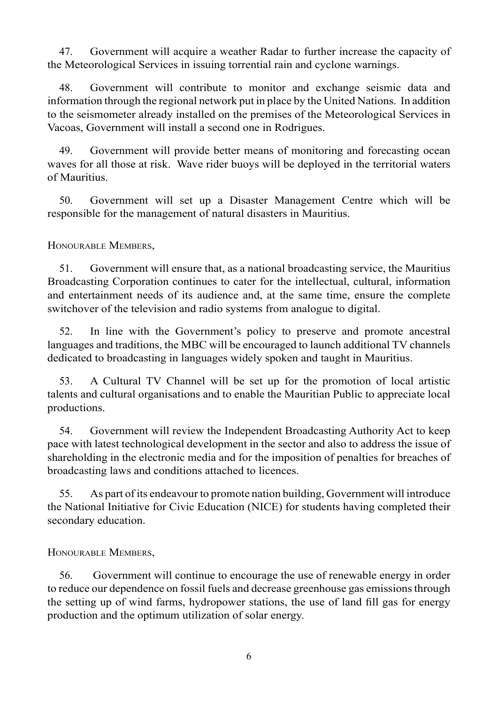47. Government will acquire a weather Radar to further increase the capacity of the Meteorological Services in issuing torrential rain and cyclone warnings.

48. Government will contribute to monitor and exchange seismic data and information through the regional network put in place by the United Nations. In addition to the seismometer already installed on the premises of the Meteorological Services in Vacoas, Government will install a second one in Rodrigues.

49. Government will provide better means of monitoring and forecasting ocean waves for all those at risk. Wave rider buoys will be deployed in the territorial waters of Mauritius.

50. Government will set up a Disaster Management Centre which will be responsible for the management of natural disasters in Mauritius.

Honourable Members,

51. Government will ensure that, as a national broadcasting service, the Mauritius Broadcasting Corporation continues to cater for the intellectual, cultural, information and entertainment needs of its audience and, at the same time, ensure the complete switchover of the television and radio systems from analogue to digital.

52. In line with the Government's policy to preserve and promote ancestral languages and traditions, the MBC will be encouraged to launch additional TV channels dedicated to broadcasting in languages widely spoken and taught in Mauritius.

53. A Cultural TV Channel will be set up for the promotion of local artistic talents and cultural organisations and to enable the Mauritian Public to appreciate local productions.

54. Government will review the Independent Broadcasting Authority Act to keep pace with latest technological development in the sector and also to address the issue of shareholding in the electronic media and for the imposition of penalties for breaches of broadcasting laws and conditions attached to licences.

55. As part of its endeavour to promote nation building, Government will introduce the National Initiative for Civic Education (NICE) for students having completed their secondary education.

Honourable Members,

56. Government will continue to encourage the use of renewable energy in order to reduce our dependence on fossil fuels and decrease greenhouse gas emissionsthrough the setting up of wind farms, hydropower stations, the use of land fill gas for energy production and the optimum utilization of solar energy.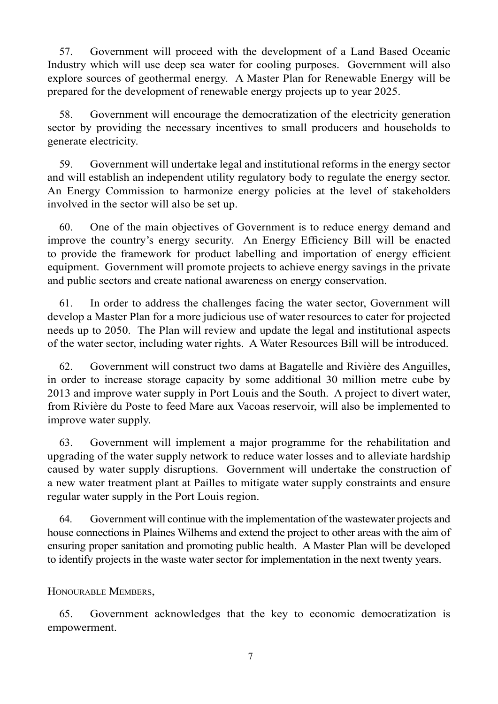57. Government will proceed with the development of a Land Based Oceanic Industry which will use deep sea water for cooling purposes. Government will also explore sources of geothermal energy. A Master Plan for Renewable Energy will be prepared for the development of renewable energy projects up to year 2025.

58. Government will encourage the democratization of the electricity generation sector by providing the necessary incentives to small producers and households to generate electricity.

59. Government will undertake legal and institutional reforms in the energy sector and will establish an independent utility regulatory body to regulate the energy sector. An Energy Commission to harmonize energy policies at the level of stakeholders involved in the sector will also be set up.

60. One of the main objectives of Government is to reduce energy demand and improve the country's energy security. An Energy Efficiency Bill will be enacted to provide the framework for product labelling and importation of energy efficient equipment. Government will promote projects to achieve energy savings in the private and public sectors and create national awareness on energy conservation.

61. In order to address the challenges facing the water sector, Government will develop a Master Plan for a more judicious use of water resources to cater for projected needs up to 2050. The Plan will review and update the legal and institutional aspects of the water sector, including water rights. A Water Resources Bill will be introduced.

62. Government will construct two dams at Bagatelle and Rivière des Anguilles, in order to increase storage capacity by some additional 30 million metre cube by 2013 and improve water supply in Port Louis and the South. A project to divert water, from Rivière du Poste to feed Mare aux Vacoas reservoir, will also be implemented to improve water supply.

63. Government will implement a major programme for the rehabilitation and upgrading of the water supply network to reduce water losses and to alleviate hardship caused by water supply disruptions. Government will undertake the construction of a new water treatment plant at Pailles to mitigate water supply constraints and ensure regular water supply in the Port Louis region.

64. Government will continue with the implementation of the wastewater projects and house connections in Plaines Wilhems and extend the project to other areas with the aim of ensuring proper sanitation and promoting public health. A Master Plan will be developed to identify projects in the waste water sector for implementation in the next twenty years.

Honourable Members,

65. Government acknowledges that the key to economic democratization is empowerment.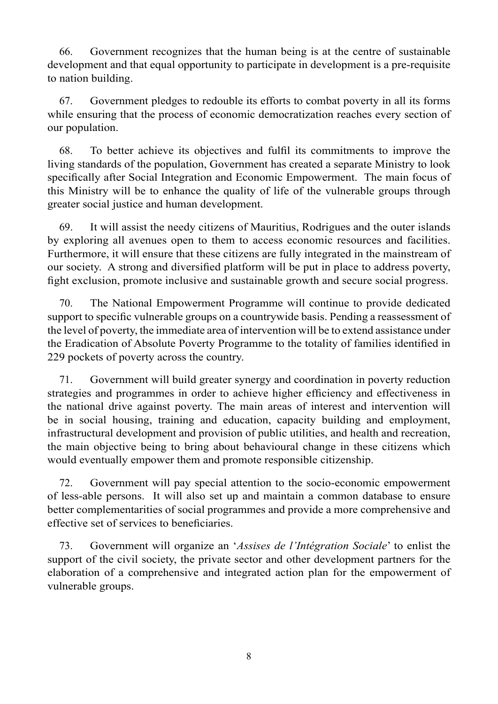66. Government recognizes that the human being is at the centre of sustainable development and that equal opportunity to participate in development is a pre-requisite to nation building.

67. Government pledges to redouble its efforts to combat poverty in all its forms while ensuring that the process of economic democratization reaches every section of our population.

68. To better achieve its objectives and fulfil its commitments to improve the living standards of the population, Government has created a separate Ministry to look specifically after Social Integration and Economic Empowerment. The main focus of this Ministry will be to enhance the quality of life of the vulnerable groups through greater social justice and human development.

69. It will assist the needy citizens of Mauritius, Rodrigues and the outer islands by exploring all avenues open to them to access economic resources and facilities. Furthermore, it will ensure that these citizens are fully integrated in the mainstream of our society. A strong and diversified platform will be put in place to address poverty, fight exclusion, promote inclusive and sustainable growth and secure social progress.

70. The National Empowerment Programme will continue to provide dedicated support to specific vulnerable groups on a countrywide basis. Pending a reassessment of the level of poverty, the immediate area of intervention will be to extend assistance under the Eradication of Absolute Poverty Programme to the totality of families identified in 229 pockets of poverty across the country.

71. Government will build greater synergy and coordination in poverty reduction strategies and programmes in order to achieve higher efficiency and effectiveness in the national drive against poverty. The main areas of interest and intervention will be in social housing, training and education, capacity building and employment, infrastructural development and provision of public utilities, and health and recreation, the main objective being to bring about behavioural change in these citizens which would eventually empower them and promote responsible citizenship.

72. Government will pay special attention to the socio-economic empowerment of less-able persons. It will also set up and maintain a common database to ensure better complementarities of social programmes and provide a more comprehensive and effective set of services to beneficiaries.

73. Government will organize an '*Assises de l'Intégration Sociale*' to enlist the support of the civil society, the private sector and other development partners for the elaboration of a comprehensive and integrated action plan for the empowerment of vulnerable groups.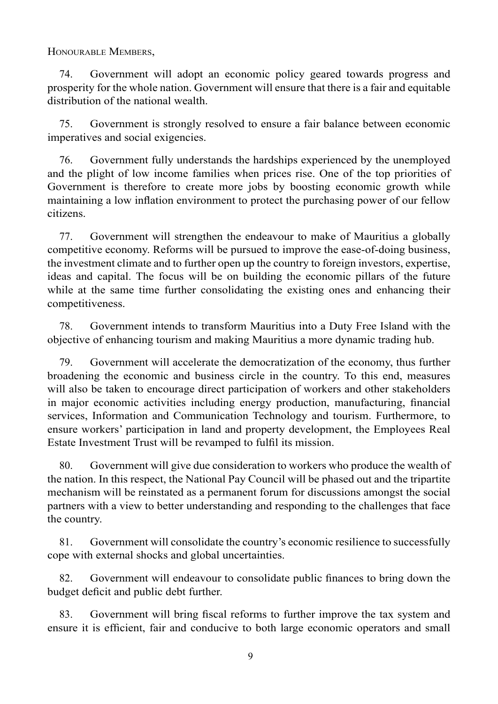Honourable Members,

74. Government will adopt an economic policy geared towards progress and prosperity for the whole nation. Government will ensure that there is a fair and equitable distribution of the national wealth.

75. Government is strongly resolved to ensure a fair balance between economic imperatives and social exigencies.

76. Government fully understands the hardships experienced by the unemployed and the plight of low income families when prices rise. One of the top priorities of Government is therefore to create more jobs by boosting economic growth while maintaining a low inflation environment to protect the purchasing power of our fellow citizens.

77. Government will strengthen the endeavour to make of Mauritius a globally competitive economy. Reforms will be pursued to improve the ease-of-doing business, the investment climate and to further open up the country to foreign investors, expertise, ideas and capital. The focus will be on building the economic pillars of the future while at the same time further consolidating the existing ones and enhancing their competitiveness.

78. Government intends to transform Mauritius into a Duty Free Island with the objective of enhancing tourism and making Mauritius a more dynamic trading hub.

79. Government will accelerate the democratization of the economy, thus further broadening the economic and business circle in the country. To this end, measures will also be taken to encourage direct participation of workers and other stakeholders in major economic activities including energy production, manufacturing, financial services, Information and Communication Technology and tourism. Furthermore, to ensure workers' participation in land and property development, the Employees Real Estate Investment Trust will be revamped to fulfil its mission.

80. Government will give due consideration to workers who produce the wealth of the nation. In this respect, the National Pay Council will be phased out and the tripartite mechanism will be reinstated as a permanent forum for discussions amongst the social partners with a view to better understanding and responding to the challenges that face the country.

81. Government will consolidate the country's economic resilience to successfully cope with external shocks and global uncertainties.

82. Government will endeavour to consolidate public finances to bring down the budget deficit and public debt further.

83. Government will bring fiscal reforms to further improve the tax system and ensure it is efficient, fair and conducive to both large economic operators and small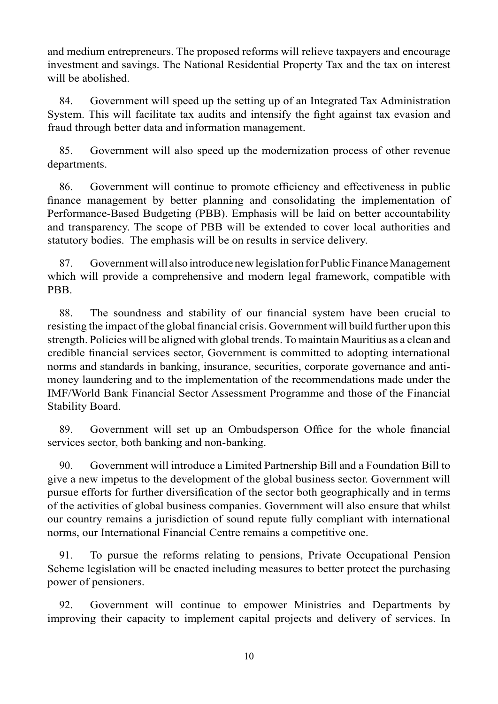and medium entrepreneurs. The proposed reforms will relieve taxpayers and encourage investment and savings. The National Residential Property Tax and the tax on interest will be abolished.

84. Government will speed up the setting up of an Integrated Tax Administration System. This will facilitate tax audits and intensify the fight against tax evasion and fraud through better data and information management.

85. Government will also speed up the modernization process of other revenue departments.

86. Government will continue to promote efficiency and effectiveness in public finance management by better planning and consolidating the implementation of Performance-Based Budgeting (PBB). Emphasis will be laid on better accountability and transparency. The scope of PBB will be extended to cover local authorities and statutory bodies. The emphasis will be on results in service delivery.

87. Government will also introduce new legislation for Public Finance Management which will provide a comprehensive and modern legal framework, compatible with PBB.

88. The soundness and stability of our financial system have been crucial to resisting the impact of the global financial crisis. Government will build further upon this strength. Policies will be aligned with global trends.To maintain Mauritius as a clean and credible financial services sector, Government is committed to adopting international norms and standards in banking, insurance, securities, corporate governance and antimoney laundering and to the implementation of the recommendations made under the IMF/World Bank Financial Sector Assessment Programme and those of the Financial Stability Board.

89. Government will set up an Ombudsperson Office for the whole financial services sector, both banking and non-banking.

90. Government will introduce a Limited Partnership Bill and a Foundation Bill to give a new impetus to the development of the global business sector. Government will pursue efforts for further diversification of the sector both geographically and in terms of the activities of global business companies. Government will also ensure that whilst our country remains a jurisdiction of sound repute fully compliant with international norms, our International Financial Centre remains a competitive one.

91. To pursue the reforms relating to pensions, Private Occupational Pension Scheme legislation will be enacted including measures to better protect the purchasing power of pensioners.

92. Government will continue to empower Ministries and Departments by improving their capacity to implement capital projects and delivery of services. In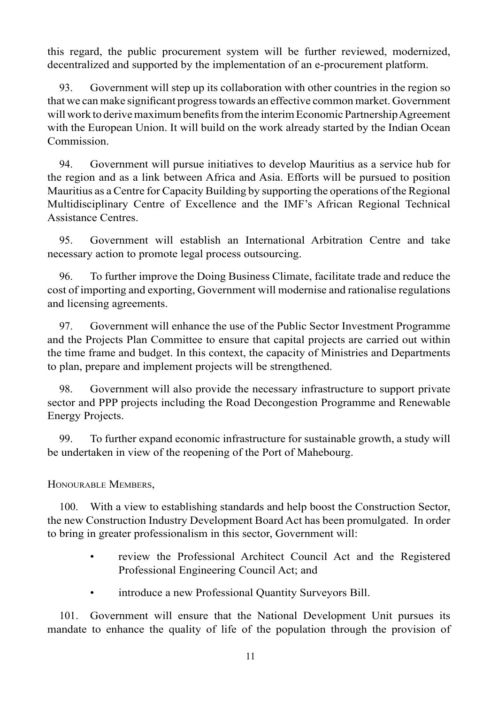this regard, the public procurement system will be further reviewed, modernized, decentralized and supported by the implementation of an e-procurement platform.

93. Government will step up its collaboration with other countries in the region so that we can make significant progresstowards an effective common market. Government will work to derive maximum benefits from the interim Economic Partnership Agreement with the European Union. It will build on the work already started by the Indian Ocean Commission.

94. Government will pursue initiatives to develop Mauritius as a service hub for the region and as a link between Africa and Asia. Efforts will be pursued to position Mauritius as a Centre for Capacity Building by supporting the operations of the Regional Multidisciplinary Centre of Excellence and the IMF's African Regional Technical Assistance Centres.

95. Government will establish an International Arbitration Centre and take necessary action to promote legal process outsourcing.

96. To further improve the Doing Business Climate, facilitate trade and reduce the cost of importing and exporting, Government will modernise and rationalise regulations and licensing agreements.

97. Government will enhance the use of the Public Sector Investment Programme and the Projects Plan Committee to ensure that capital projects are carried out within the time frame and budget. In this context, the capacity of Ministries and Departments to plan, prepare and implement projects will be strengthened.

98. Government will also provide the necessary infrastructure to support private sector and PPP projects including the Road Decongestion Programme and Renewable Energy Projects.

99. To further expand economic infrastructure for sustainable growth, a study will be undertaken in view of the reopening of the Port of Mahebourg.

Honourable Members,

100. With a view to establishing standards and help boost the Construction Sector, the new Construction Industry Development Board Act has been promulgated. In order to bring in greater professionalism in this sector, Government will:

- review the Professional Architect Council Act and the Registered Professional Engineering Council Act; and
- introduce a new Professional Quantity Surveyors Bill.

101. Government will ensure that the National Development Unit pursues its mandate to enhance the quality of life of the population through the provision of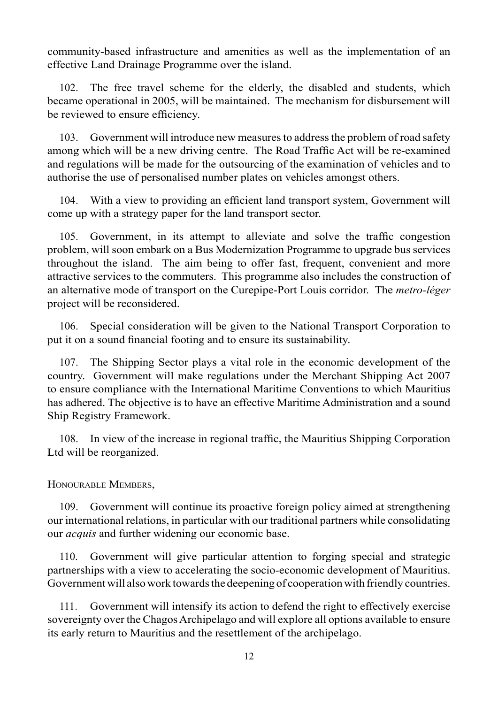community-based infrastructure and amenities as well as the implementation of an effective Land Drainage Programme over the island.

102. The free travel scheme for the elderly, the disabled and students, which became operational in 2005, will be maintained. The mechanism for disbursement will be reviewed to ensure efficiency.

103. Government will introduce new measures to address the problem of road safety among which will be a new driving centre. The Road Traffic Act will be re-examined and regulations will be made for the outsourcing of the examination of vehicles and to authorise the use of personalised number plates on vehicles amongst others.

104. With a view to providing an efficient land transport system, Government will come up with a strategy paper for the land transport sector.

105. Government, in its attempt to alleviate and solve the traffic congestion problem, will soon embark on a Bus Modernization Programme to upgrade bus services throughout the island. The aim being to offer fast, frequent, convenient and more attractive services to the commuters. This programme also includes the construction of an alternative mode of transport on the Curepipe-Port Louis corridor. The *metro-léger*  project will be reconsidered.

106. Special consideration will be given to the National Transport Corporation to put it on a sound financial footing and to ensure its sustainability.

107. The Shipping Sector plays a vital role in the economic development of the country. Government will make regulations under the Merchant Shipping Act 2007 to ensure compliance with the International Maritime Conventions to which Mauritius has adhered. The objective is to have an effective Maritime Administration and a sound Ship Registry Framework.

108. In view of the increase in regional traffic, the Mauritius Shipping Corporation Ltd will be reorganized.

Honourable Members,

109. Government will continue its proactive foreign policy aimed at strengthening our international relations, in particular with our traditional partners while consolidating our *acquis* and further widening our economic base.

110. Government will give particular attention to forging special and strategic partnerships with a view to accelerating the socio-economic development of Mauritius. Government will also work towards the deepening of cooperation with friendly countries.

111. Government will intensify its action to defend the right to effectively exercise sovereignty over the Chagos Archipelago and will explore all options available to ensure its early return to Mauritius and the resettlement of the archipelago.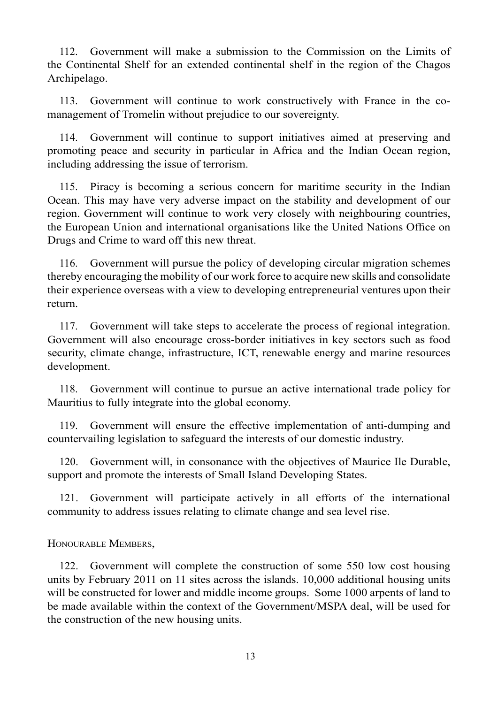112. Government will make a submission to the Commission on the Limits of the Continental Shelf for an extended continental shelf in the region of the Chagos Archipelago.

113. Government will continue to work constructively with France in the comanagement of Tromelin without prejudice to our sovereignty.

114. Government will continue to support initiatives aimed at preserving and promoting peace and security in particular in Africa and the Indian Ocean region, including addressing the issue of terrorism.

115. Piracy is becoming a serious concern for maritime security in the Indian Ocean. This may have very adverse impact on the stability and development of our region. Government will continue to work very closely with neighbouring countries, the European Union and international organisations like the United Nations Office on Drugs and Crime to ward off this new threat.

116. Government will pursue the policy of developing circular migration schemes thereby encouraging the mobility of our work force to acquire new skills and consolidate their experience overseas with a view to developing entrepreneurial ventures upon their return.

117. Government will take steps to accelerate the process of regional integration. Government will also encourage cross-border initiatives in key sectors such as food security, climate change, infrastructure, ICT, renewable energy and marine resources development.

118. Government will continue to pursue an active international trade policy for Mauritius to fully integrate into the global economy.

119. Government will ensure the effective implementation of anti-dumping and countervailing legislation to safeguard the interests of our domestic industry.

120. Government will, in consonance with the objectives of Maurice Ile Durable, support and promote the interests of Small Island Developing States.

121. Government will participate actively in all efforts of the international community to address issues relating to climate change and sea level rise.

Honourable Members,

122. Government will complete the construction of some 550 low cost housing units by February 2011 on 11 sites across the islands. 10,000 additional housing units will be constructed for lower and middle income groups. Some 1000 arpents of land to be made available within the context of the Government/MSPA deal, will be used for the construction of the new housing units.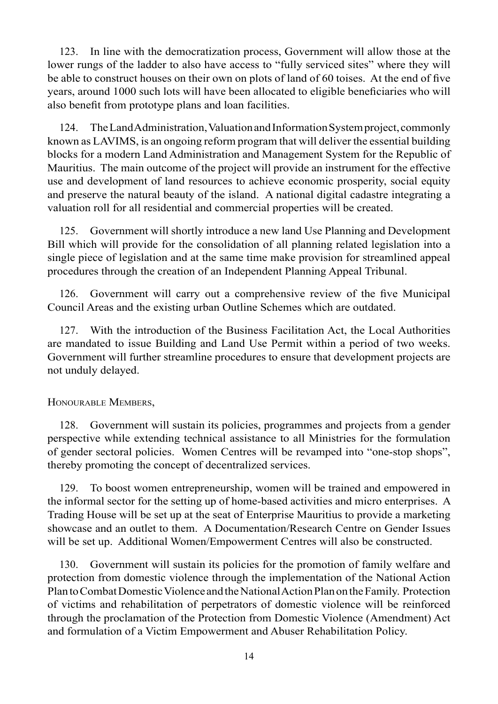123. In line with the democratization process, Government will allow those at the lower rungs of the ladder to also have access to "fully serviced sites" where they will be able to construct houses on their own on plots of land of 60 toises. At the end of five years, around 1000 such lots will have been allocated to eligible beneficiaries who will also benefit from prototype plans and loan facilities.

124. The LandAdministration, Valuation and Information System project, commonly known as LAVIMS, is an ongoing reform program that will deliver the essential building blocks for a modern Land Administration and Management System for the Republic of Mauritius. The main outcome of the project will provide an instrument for the effective use and development of land resources to achieve economic prosperity, social equity and preserve the natural beauty of the island. A national digital cadastre integrating a valuation roll for all residential and commercial properties will be created.

125. Government will shortly introduce a new land Use Planning and Development Bill which will provide for the consolidation of all planning related legislation into a single piece of legislation and at the same time make provision for streamlined appeal procedures through the creation of an Independent Planning Appeal Tribunal.

126. Government will carry out a comprehensive review of the five Municipal Council Areas and the existing urban Outline Schemes which are outdated.

127. With the introduction of the Business Facilitation Act, the Local Authorities are mandated to issue Building and Land Use Permit within a period of two weeks. Government will further streamline procedures to ensure that development projects are not unduly delayed.

#### Honourable Members,

128. Government will sustain its policies, programmes and projects from a gender perspective while extending technical assistance to all Ministries for the formulation of gender sectoral policies. Women Centres will be revamped into "one-stop shops", thereby promoting the concept of decentralized services.

129. To boost women entrepreneurship, women will be trained and empowered in the informal sector for the setting up of home-based activities and micro enterprises. A Trading House will be set up at the seat of Enterprise Mauritius to provide a marketing showcase and an outlet to them. A Documentation/Research Centre on Gender Issues will be set up. Additional Women/Empowerment Centres will also be constructed.

130. Government will sustain its policies for the promotion of family welfare and protection from domestic violence through the implementation of the National Action Plan to Combat Domestic Violence and the National Action Plan on the Family. Protection of victims and rehabilitation of perpetrators of domestic violence will be reinforced through the proclamation of the Protection from Domestic Violence (Amendment) Act and formulation of a Victim Empowerment and Abuser Rehabilitation Policy.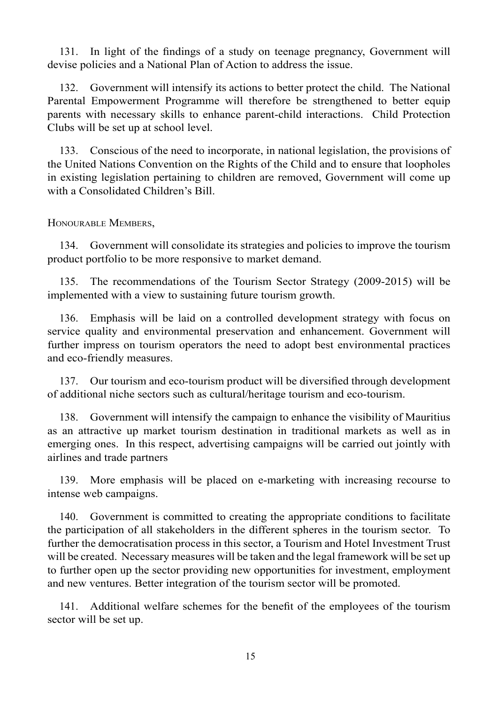131. In light of the findings of a study on teenage pregnancy, Government will devise policies and a National Plan of Action to address the issue.

132. Government will intensify its actions to better protect the child. The National Parental Empowerment Programme will therefore be strengthened to better equip parents with necessary skills to enhance parent-child interactions. Child Protection Clubs will be set up at school level.

133. Conscious of the need to incorporate, in national legislation, the provisions of the United Nations Convention on the Rights of the Child and to ensure that loopholes in existing legislation pertaining to children are removed, Government will come up with a Consolidated Children's Bill.

Honourable Members,

134. Government will consolidate its strategies and policies to improve the tourism product portfolio to be more responsive to market demand.

135. The recommendations of the Tourism Sector Strategy (2009-2015) will be implemented with a view to sustaining future tourism growth.

136. Emphasis will be laid on a controlled development strategy with focus on service quality and environmental preservation and enhancement. Government will further impress on tourism operators the need to adopt best environmental practices and eco-friendly measures.

137. Our tourism and eco-tourism product will be diversified through development of additional niche sectors such as cultural/heritage tourism and eco-tourism.

138. Government will intensify the campaign to enhance the visibility of Mauritius as an attractive up market tourism destination in traditional markets as well as in emerging ones. In this respect, advertising campaigns will be carried out jointly with airlines and trade partners

139. More emphasis will be placed on e-marketing with increasing recourse to intense web campaigns.

140. Government is committed to creating the appropriate conditions to facilitate the participation of all stakeholders in the different spheres in the tourism sector. To further the democratisation process in this sector, a Tourism and Hotel Investment Trust will be created. Necessary measures will be taken and the legal framework will be set up to further open up the sector providing new opportunities for investment, employment and new ventures. Better integration of the tourism sector will be promoted.

141. Additional welfare schemes for the benefit of the employees of the tourism sector will be set up.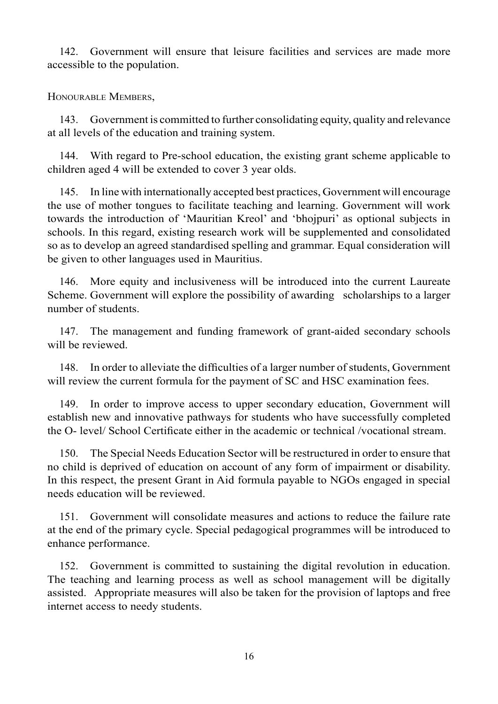142. Government will ensure that leisure facilities and services are made more accessible to the population.

Honourable Members,

143. Government is committed to further consolidating equity, quality and relevance at all levels of the education and training system.

144. With regard to Pre-school education, the existing grant scheme applicable to children aged 4 will be extended to cover 3 year olds.

145. In line with internationally accepted best practices, Government will encourage the use of mother tongues to facilitate teaching and learning. Government will work towards the introduction of 'Mauritian Kreol' and 'bhojpuri' as optional subjects in schools. In this regard, existing research work will be supplemented and consolidated so as to develop an agreed standardised spelling and grammar. Equal consideration will be given to other languages used in Mauritius.

146. More equity and inclusiveness will be introduced into the current Laureate Scheme. Government will explore the possibility of awarding scholarships to a larger number of students.

147. The management and funding framework of grant-aided secondary schools will be reviewed.

148. In order to alleviate the difficulties of a larger number of students, Government will review the current formula for the payment of SC and HSC examination fees.

149. In order to improve access to upper secondary education, Government will establish new and innovative pathways for students who have successfully completed the O- level/ School Certificate either in the academic or technical /vocational stream.

150. The Special Needs Education Sector will be restructured in order to ensure that no child is deprived of education on account of any form of impairment or disability. In this respect, the present Grant in Aid formula payable to NGOs engaged in special needs education will be reviewed.

151. Government will consolidate measures and actions to reduce the failure rate at the end of the primary cycle. Special pedagogical programmes will be introduced to enhance performance.

152. Government is committed to sustaining the digital revolution in education. The teaching and learning process as well as school management will be digitally assisted. Appropriate measures will also be taken for the provision of laptops and free internet access to needy students.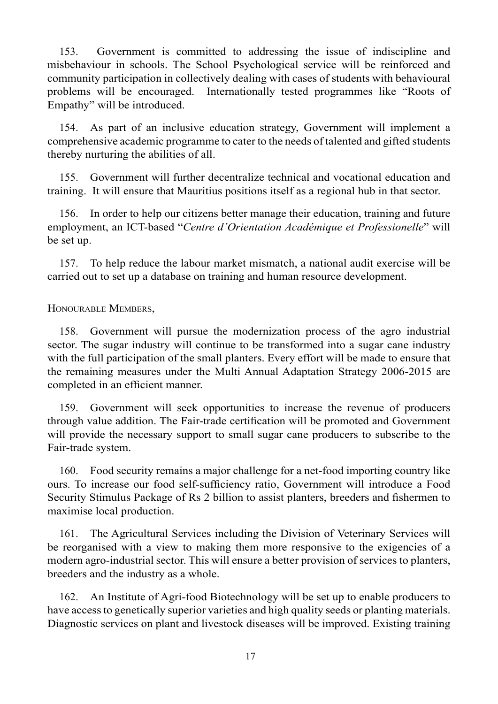153. Government is committed to addressing the issue of indiscipline and misbehaviour in schools. The School Psychological service will be reinforced and community participation in collectively dealing with cases of students with behavioural problems will be encouraged. Internationally tested programmes like "Roots of Empathy" will be introduced.

154. As part of an inclusive education strategy, Government will implement a comprehensive academic programme to cater to the needs of talented and gifted students thereby nurturing the abilities of all.

155. Government will further decentralize technical and vocational education and training. It will ensure that Mauritius positions itself as a regional hub in that sector.

156. In order to help our citizens better manage their education, training and future employment, an ICT-based "*Centre d'Orientation Académique et Professionelle*" will be set up.

157. To help reduce the labour market mismatch, a national audit exercise will be carried out to set up a database on training and human resource development.

Honourable Members,

158. Government will pursue the modernization process of the agro industrial sector. The sugar industry will continue to be transformed into a sugar cane industry with the full participation of the small planters. Every effort will be made to ensure that the remaining measures under the Multi Annual Adaptation Strategy 2006-2015 are completed in an efficient manner.

159. Government will seek opportunities to increase the revenue of producers through value addition. The Fair-trade certification will be promoted and Government will provide the necessary support to small sugar cane producers to subscribe to the Fair-trade system.

160. Food security remains a major challenge for a net-food importing country like ours. To increase our food self-sufficiency ratio, Government will introduce a Food Security Stimulus Package of Rs 2 billion to assist planters, breeders and fishermen to maximise local production.

161. The Agricultural Services including the Division of Veterinary Services will be reorganised with a view to making them more responsive to the exigencies of a modern agro-industrial sector. This will ensure a better provision of services to planters, breeders and the industry as a whole.

162. An Institute of Agri-food Biotechnology will be set up to enable producers to have accessto genetically superior varieties and high quality seeds or planting materials. Diagnostic services on plant and livestock diseases will be improved. Existing training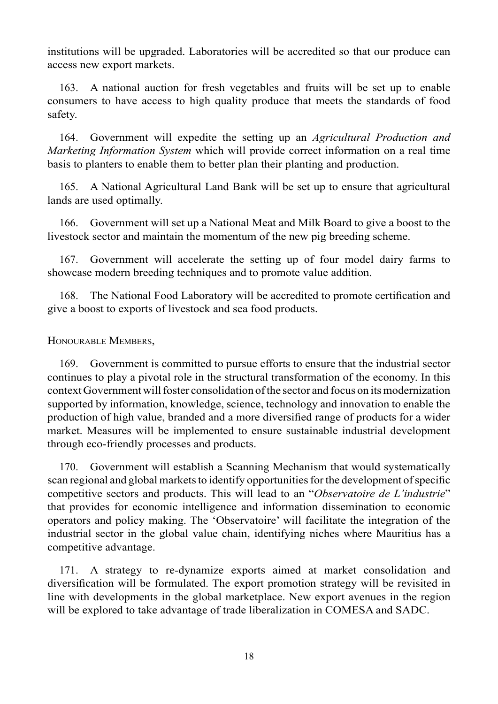institutions will be upgraded. Laboratories will be accredited so that our produce can access new export markets.

163. A national auction for fresh vegetables and fruits will be set up to enable consumers to have access to high quality produce that meets the standards of food safety.

164. Government will expedite the setting up an *Agricultural Production and Marketing Information System* which will provide correct information on a real time basis to planters to enable them to better plan their planting and production.

165. A National Agricultural Land Bank will be set up to ensure that agricultural lands are used optimally.

166. Government will set up a National Meat and Milk Board to give a boost to the livestock sector and maintain the momentum of the new pig breeding scheme.

167. Government will accelerate the setting up of four model dairy farms to showcase modern breeding techniques and to promote value addition.

168. The National Food Laboratory will be accredited to promote certification and give a boost to exports of livestock and sea food products.

Honourable Members,

169. Government is committed to pursue efforts to ensure that the industrial sector continues to play a pivotal role in the structural transformation of the economy. In this contextGovernmentwillfoster consolidation ofthe sector and focus on itsmodernization supported by information, knowledge, science, technology and innovation to enable the production of high value, branded and a more diversified range of products for a wider market. Measures will be implemented to ensure sustainable industrial development through eco-friendly processes and products.

170. Government will establish a Scanning Mechanism that would systematically scan regional and global markets to identify opportunities for the development of specific competitive sectors and products. This will lead to an "*Observatoire de L'industrie*" that provides for economic intelligence and information dissemination to economic operators and policy making. The 'Observatoire' will facilitate the integration of the industrial sector in the global value chain, identifying niches where Mauritius has a competitive advantage.

171. A strategy to re-dynamize exports aimed at market consolidation and diversification will be formulated. The export promotion strategy will be revisited in line with developments in the global marketplace. New export avenues in the region will be explored to take advantage of trade liberalization in COMESA and SADC.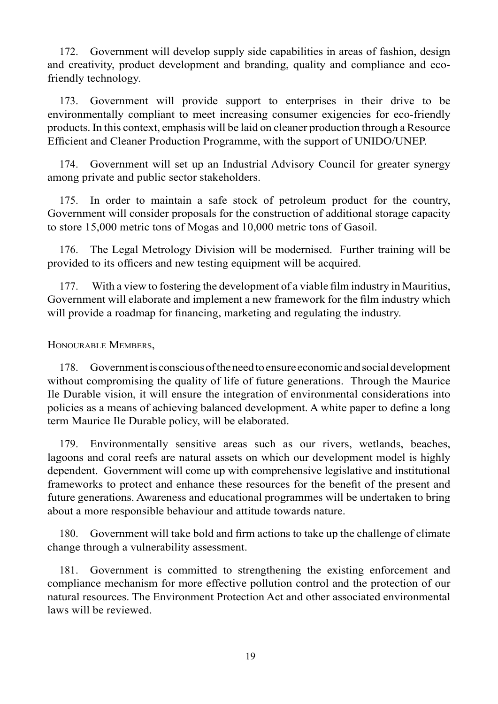172. Government will develop supply side capabilities in areas of fashion, design and creativity, product development and branding, quality and compliance and ecofriendly technology.

173. Government will provide support to enterprises in their drive to be environmentally compliant to meet increasing consumer exigencies for eco-friendly products. In this context, emphasis will be laid on cleaner production through a Resource Efficient and Cleaner Production Programme, with the support of UNIDO/UNEP.

174. Government will set up an Industrial Advisory Council for greater synergy among private and public sector stakeholders.

175. In order to maintain a safe stock of petroleum product for the country, Government will consider proposals for the construction of additional storage capacity to store 15,000 metric tons of Mogas and 10,000 metric tons of Gasoil.

176. The Legal Metrology Division will be modernised. Further training will be provided to its officers and new testing equipment will be acquired.

177. With a view to fostering the development of a viable film industry in Mauritius, Government will elaborate and implement a new framework for the film industry which will provide a roadmap for financing, marketing and regulating the industry.

Honourable Members,

178. Governmentisconsciousoftheneedtoensureeconomicandsocialdevelopment without compromising the quality of life of future generations. Through the Maurice Ile Durable vision, it will ensure the integration of environmental considerations into policies as a means of achieving balanced development. A white paper to define a long term Maurice Ile Durable policy, will be elaborated.

179. Environmentally sensitive areas such as our rivers, wetlands, beaches, lagoons and coral reefs are natural assets on which our development model is highly dependent. Government will come up with comprehensive legislative and institutional frameworks to protect and enhance these resources for the benefit of the present and future generations. Awareness and educational programmes will be undertaken to bring about a more responsible behaviour and attitude towards nature.

180. Government will take bold and firm actions to take up the challenge of climate change through a vulnerability assessment.

181. Government is committed to strengthening the existing enforcement and compliance mechanism for more effective pollution control and the protection of our natural resources. The Environment Protection Act and other associated environmental laws will be reviewed.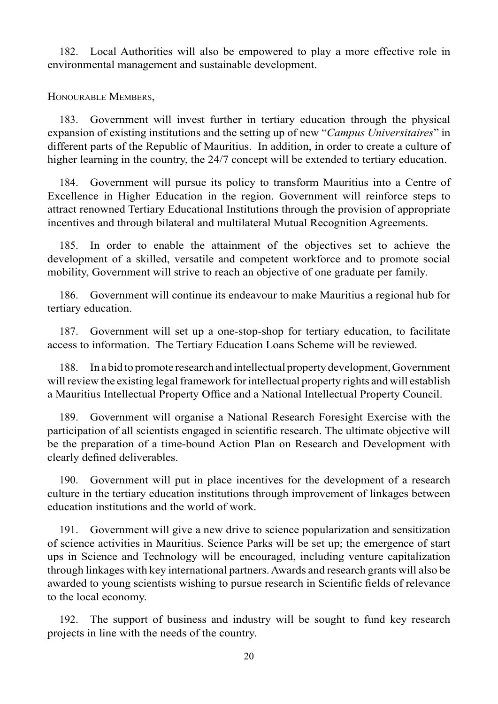182. Local Authorities will also be empowered to play a more effective role in environmental management and sustainable development.

Honourable Members,

183. Government will invest further in tertiary education through the physical expansion of existing institutions and the setting up of new "*Campus Universitaires*" in different parts of the Republic of Mauritius. In addition, in order to create a culture of higher learning in the country, the 24/7 concept will be extended to tertiary education.

184. Government will pursue its policy to transform Mauritius into a Centre of Excellence in Higher Education in the region. Government will reinforce steps to attract renowned Tertiary Educational Institutions through the provision of appropriate incentives and through bilateral and multilateral Mutual Recognition Agreements.

185. In order to enable the attainment of the objectives set to achieve the development of a skilled, versatile and competent workforce and to promote social mobility, Government will strive to reach an objective of one graduate per family.

186. Government will continue its endeavour to make Mauritius a regional hub for tertiary education.

187. Government will set up a one-stop-shop for tertiary education, to facilitate access to information. The Tertiary Education Loans Scheme will be reviewed.

188. In a bid to promote research and intellectual property development,Government will review the existing legal framework for intellectual property rights and will establish a Mauritius Intellectual Property Office and a National Intellectual Property Council.

189. Government will organise a National Research Foresight Exercise with the participation of all scientists engaged in scientific research. The ultimate objective will be the preparation of a time-bound Action Plan on Research and Development with clearly defined deliverables.

190. Government will put in place incentives for the development of a research culture in the tertiary education institutions through improvement of linkages between education institutions and the world of work.

191. Government will give a new drive to science popularization and sensitization of science activities in Mauritius. Science Parks will be set up; the emergence of start ups in Science and Technology will be encouraged, including venture capitalization through linkages with key international partners.Awards and research grants will also be awarded to young scientists wishing to pursue research in Scientific fields of relevance to the local economy.

192. The support of business and industry will be sought to fund key research projects in line with the needs of the country.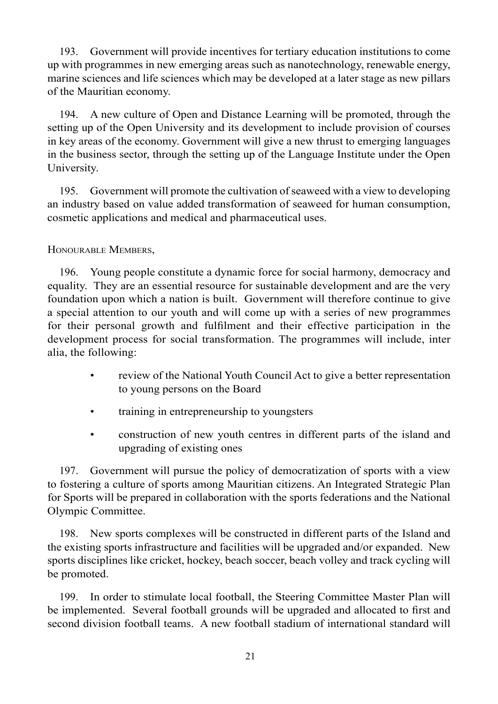193. Government will provide incentives for tertiary education institutions to come up with programmes in new emerging areas such as nanotechnology, renewable energy, marine sciences and life sciences which may be developed at a later stage as new pillars of the Mauritian economy.

194. A new culture of Open and Distance Learning will be promoted, through the setting up of the Open University and its development to include provision of courses in key areas of the economy. Government will give a new thrust to emerging languages in the business sector, through the setting up of the Language Institute under the Open University.

195. Government will promote the cultivation of seaweed with a view to developing an industry based on value added transformation of seaweed for human consumption, cosmetic applications and medical and pharmaceutical uses.

Honourable Members,

196. Young people constitute a dynamic force for social harmony, democracy and equality. They are an essential resource for sustainable development and are the very foundation upon which a nation is built. Government will therefore continue to give a special attention to our youth and will come up with a series of new programmes for their personal growth and fulfilment and their effective participation in the development process for social transformation. The programmes will include, inter alia, the following:

- review of the National Youth Council Act to give a better representation to young persons on the Board
- training in entrepreneurship to youngsters
- construction of new youth centres in different parts of the island and upgrading of existing ones

197. Government will pursue the policy of democratization of sports with a view to fostering a culture of sports among Mauritian citizens. An Integrated Strategic Plan for Sports will be prepared in collaboration with the sports federations and the National Olympic Committee.

198. New sports complexes will be constructed in different parts of the Island and the existing sports infrastructure and facilities will be upgraded and/or expanded. New sports disciplines like cricket, hockey, beach soccer, beach volley and track cycling will be promoted.

199. In order to stimulate local football, the Steering Committee Master Plan will be implemented. Several football grounds will be upgraded and allocated to first and second division football teams. A new football stadium of international standard will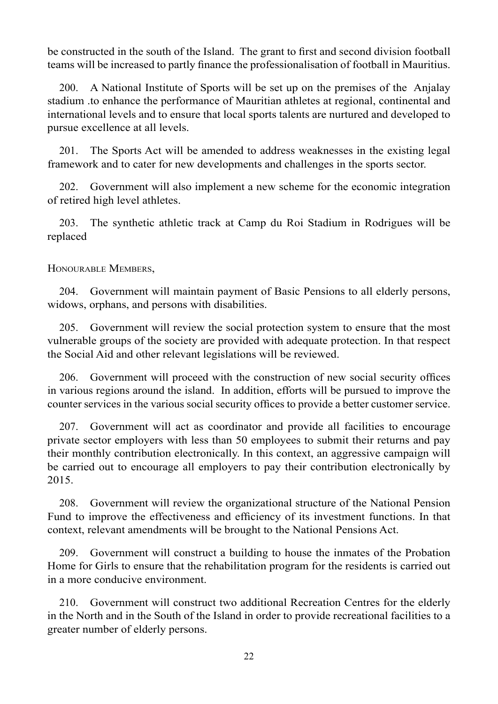be constructed in the south of the Island. The grant to first and second division football teams will be increased to partly finance the professionalisation of football in Mauritius.

200. A National Institute of Sports will be set up on the premises of the Anjalay stadium .to enhance the performance of Mauritian athletes at regional, continental and international levels and to ensure that local sports talents are nurtured and developed to pursue excellence at all levels.

201. The Sports Act will be amended to address weaknesses in the existing legal framework and to cater for new developments and challenges in the sports sector.

202. Government will also implement a new scheme for the economic integration of retired high level athletes.

203. The synthetic athletic track at Camp du Roi Stadium in Rodrigues will be replaced

Honourable Members,

204. Government will maintain payment of Basic Pensions to all elderly persons, widows, orphans, and persons with disabilities.

205. Government will review the social protection system to ensure that the most vulnerable groups of the society are provided with adequate protection. In that respect the Social Aid and other relevant legislations will be reviewed.

206. Government will proceed with the construction of new social security offices in various regions around the island. In addition, efforts will be pursued to improve the counter services in the various social security offices to provide a better customer service.

207. Government will act as coordinator and provide all facilities to encourage private sector employers with less than 50 employees to submit their returns and pay their monthly contribution electronically. In this context, an aggressive campaign will be carried out to encourage all employers to pay their contribution electronically by 2015.

208. Government will review the organizational structure of the National Pension Fund to improve the effectiveness and efficiency of its investment functions. In that context, relevant amendments will be brought to the National Pensions Act.

209. Government will construct a building to house the inmates of the Probation Home for Girls to ensure that the rehabilitation program for the residents is carried out in a more conducive environment.

210. Government will construct two additional Recreation Centres for the elderly in the North and in the South of the Island in order to provide recreational facilities to a greater number of elderly persons.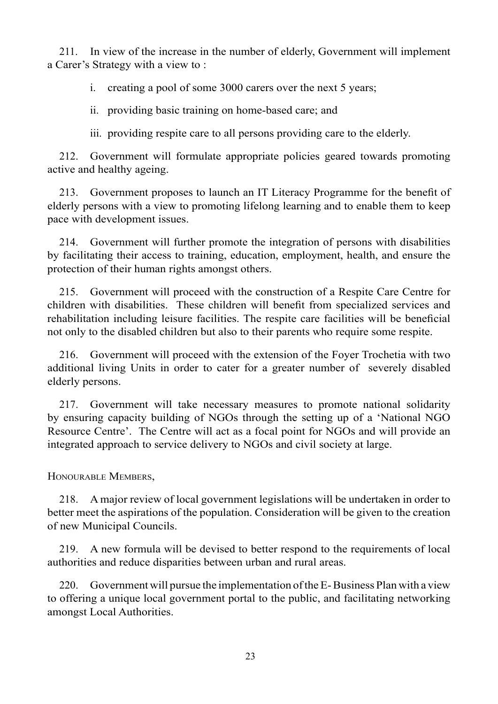211. In view of the increase in the number of elderly, Government will implement a Carer's Strategy with a view to :

i. creating a pool of some 3000 carers over the next 5 years;

ii. providing basic training on home-based care; and

iii. providing respite care to all persons providing care to the elderly.

212. Government will formulate appropriate policies geared towards promoting active and healthy ageing.

213. Government proposes to launch an IT Literacy Programme for the benefit of elderly persons with a view to promoting lifelong learning and to enable them to keep pace with development issues.

214. Government will further promote the integration of persons with disabilities by facilitating their access to training, education, employment, health, and ensure the protection of their human rights amongst others.

215. Government will proceed with the construction of a Respite Care Centre for children with disabilities. These children will benefit from specialized services and rehabilitation including leisure facilities. The respite care facilities will be beneficial not only to the disabled children but also to their parents who require some respite.

216. Government will proceed with the extension of the Foyer Trochetia with two additional living Units in order to cater for a greater number of severely disabled elderly persons.

217. Government will take necessary measures to promote national solidarity by ensuring capacity building of NGOs through the setting up of a 'National NGO Resource Centre'. The Centre will act as a focal point for NGOs and will provide an integrated approach to service delivery to NGOs and civil society at large.

Honourable Members,

218. A major review of local government legislations will be undertaken in order to better meet the aspirations of the population. Consideration will be given to the creation of new Municipal Councils.

219. A new formula will be devised to better respond to the requirements of local authorities and reduce disparities between urban and rural areas.

220. Government will pursue the implementation of the E-Business Plan with a view to offering a unique local government portal to the public, and facilitating networking amongst Local Authorities.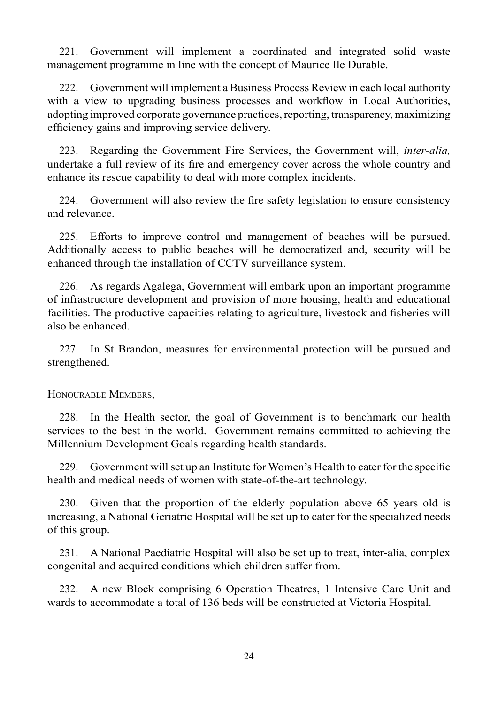221. Government will implement a coordinated and integrated solid waste management programme in line with the concept of Maurice Ile Durable.

222. Government will implement a Business Process Review in each local authority with a view to upgrading business processes and workflow in Local Authorities, adopting improved corporate governance practices, reporting, transparency, maximizing efficiency gains and improving service delivery.

223. Regarding the Government Fire Services, the Government will, *inter-alia,* undertake a full review of its fire and emergency cover across the whole country and enhance its rescue capability to deal with more complex incidents.

224. Government will also review the fire safety legislation to ensure consistency and relevance.

225. Efforts to improve control and management of beaches will be pursued. Additionally access to public beaches will be democratized and, security will be enhanced through the installation of CCTV surveillance system.

226. As regards Agalega, Government will embark upon an important programme of infrastructure development and provision of more housing, health and educational facilities. The productive capacities relating to agriculture, livestock and fisheries will also be enhanced.

227. In St Brandon, measures for environmental protection will be pursued and strengthened.

Honourable Members,

228. In the Health sector, the goal of Government is to benchmark our health services to the best in the world. Government remains committed to achieving the Millennium Development Goals regarding health standards.

229. Government will set up an Institute for Women's Health to cater for the specific health and medical needs of women with state-of-the-art technology.

230. Given that the proportion of the elderly population above 65 years old is increasing, a National Geriatric Hospital will be set up to cater for the specialized needs of this group.

231. A National Paediatric Hospital will also be set up to treat, inter-alia, complex congenital and acquired conditions which children suffer from.

232. A new Block comprising 6 Operation Theatres, 1 Intensive Care Unit and wards to accommodate a total of 136 beds will be constructed at Victoria Hospital.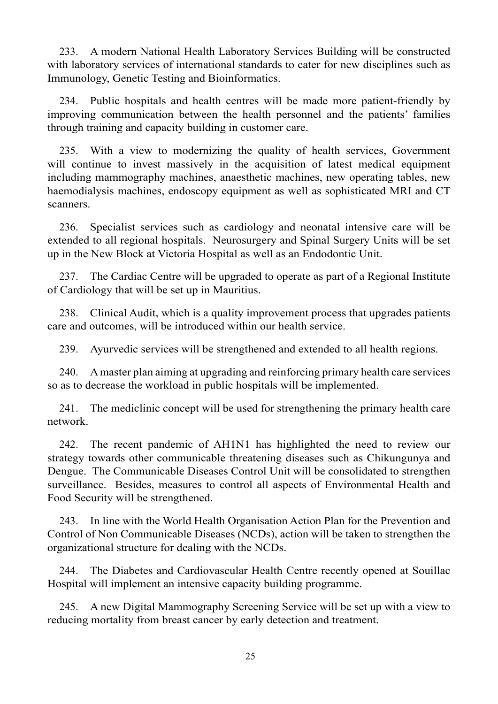233. A modern National Health Laboratory Services Building will be constructed with laboratory services of international standards to cater for new disciplines such as Immunology, Genetic Testing and Bioinformatics.

234. Public hospitals and health centres will be made more patient-friendly by improving communication between the health personnel and the patients' families through training and capacity building in customer care.

235. With a view to modernizing the quality of health services, Government will continue to invest massively in the acquisition of latest medical equipment including mammography machines, anaesthetic machines, new operating tables, new haemodialysis machines, endoscopy equipment as well as sophisticated MRI and CT scanners.

236. Specialist services such as cardiology and neonatal intensive care will be extended to all regional hospitals. Neurosurgery and Spinal Surgery Units will be set up in the New Block at Victoria Hospital as well as an Endodontic Unit.

237. The Cardiac Centre will be upgraded to operate as part of a Regional Institute of Cardiology that will be set up in Mauritius.

238. Clinical Audit, which is a quality improvement process that upgrades patients care and outcomes, will be introduced within our health service.

239. Ayurvedic services will be strengthened and extended to all health regions.

240. Amaster plan aiming at upgrading and reinforcing primary health care services so as to decrease the workload in public hospitals will be implemented.

241. The mediclinic concept will be used for strengthening the primary health care network.

242. The recent pandemic of AH1N1 has highlighted the need to review our strategy towards other communicable threatening diseases such as Chikungunya and Dengue. The Communicable Diseases Control Unit will be consolidated to strengthen surveillance. Besides, measures to control all aspects of Environmental Health and Food Security will be strengthened.

243. In line with the World Health Organisation Action Plan for the Prevention and Control of Non Communicable Diseases (NCDs), action will be taken to strengthen the organizational structure for dealing with the NCDs.

244. The Diabetes and Cardiovascular Health Centre recently opened at Souillac Hospital will implement an intensive capacity building programme.

245. A new Digital Mammography Screening Service will be set up with a view to reducing mortality from breast cancer by early detection and treatment.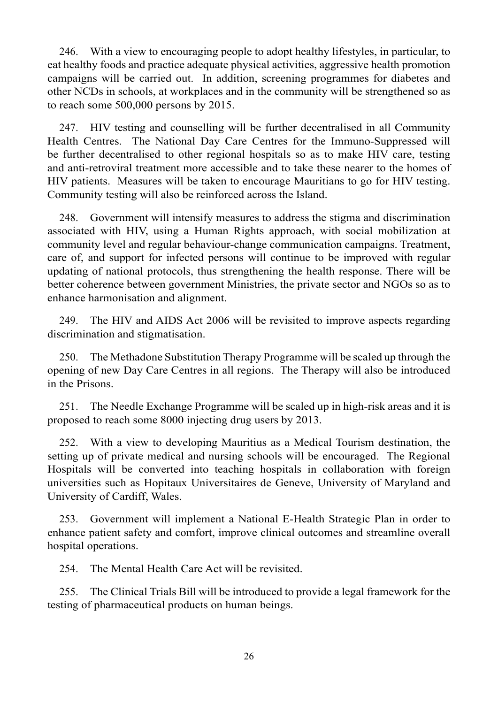246. With a view to encouraging people to adopt healthy lifestyles, in particular, to eat healthy foods and practice adequate physical activities, aggressive health promotion campaigns will be carried out. In addition, screening programmes for diabetes and other NCDs in schools, at workplaces and in the community will be strengthened so as to reach some 500,000 persons by 2015.

247. HIV testing and counselling will be further decentralised in all Community Health Centres. The National Day Care Centres for the Immuno-Suppressed will be further decentralised to other regional hospitals so as to make HIV care, testing and anti-retroviral treatment more accessible and to take these nearer to the homes of HIV patients. Measures will be taken to encourage Mauritians to go for HIV testing. Community testing will also be reinforced across the Island.

248. Government will intensify measures to address the stigma and discrimination associated with HIV, using a Human Rights approach, with social mobilization at community level and regular behaviour-change communication campaigns. Treatment, care of, and support for infected persons will continue to be improved with regular updating of national protocols, thus strengthening the health response. There will be better coherence between government Ministries, the private sector and NGOs so as to enhance harmonisation and alignment.

249. The HIV and AIDS Act 2006 will be revisited to improve aspects regarding discrimination and stigmatisation.

250. The Methadone Substitution Therapy Programme will be scaled up through the opening of new Day Care Centres in all regions. The Therapy will also be introduced in the Prisons.

251. The Needle Exchange Programme will be scaled up in high-risk areas and it is proposed to reach some 8000 injecting drug users by 2013.

252. With a view to developing Mauritius as a Medical Tourism destination, the setting up of private medical and nursing schools will be encouraged. The Regional Hospitals will be converted into teaching hospitals in collaboration with foreign universities such as Hopitaux Universitaires de Geneve, University of Maryland and University of Cardiff, Wales.

253. Government will implement a National E-Health Strategic Plan in order to enhance patient safety and comfort, improve clinical outcomes and streamline overall hospital operations.

254. The Mental Health Care Act will be revisited.

255. The Clinical Trials Bill will be introduced to provide a legal framework for the testing of pharmaceutical products on human beings.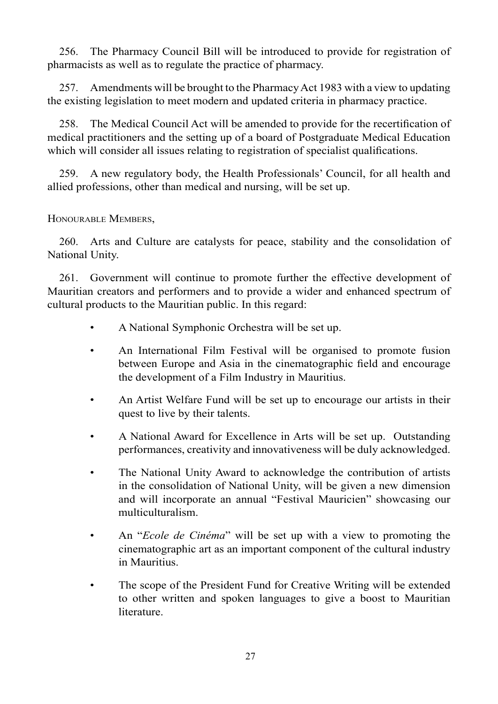256. The Pharmacy Council Bill will be introduced to provide for registration of pharmacists as well as to regulate the practice of pharmacy.

257. Amendments will be brought to the Pharmacy Act 1983 with a view to updating the existing legislation to meet modern and updated criteria in pharmacy practice.

258. The Medical Council Act will be amended to provide for the recertification of medical practitioners and the setting up of a board of Postgraduate Medical Education which will consider all issues relating to registration of specialist qualifications.

259. A new regulatory body, the Health Professionals' Council, for all health and allied professions, other than medical and nursing, will be set up.

Honourable Members,

260. Arts and Culture are catalysts for peace, stability and the consolidation of National Unity.

261. Government will continue to promote further the effective development of Mauritian creators and performers and to provide a wider and enhanced spectrum of cultural products to the Mauritian public. In this regard:

- A National Symphonic Orchestra will be set up.
- An International Film Festival will be organised to promote fusion between Europe and Asia in the cinematographic field and encourage the development of a Film Industry in Mauritius.
- An Artist Welfare Fund will be set up to encourage our artists in their quest to live by their talents.
- A National Award for Excellence in Arts will be set up. Outstanding performances, creativity and innovativeness will be duly acknowledged.
- The National Unity Award to acknowledge the contribution of artists in the consolidation of National Unity, will be given a new dimension and will incorporate an annual "Festival Mauricien" showcasing our multiculturalism.
- An "*Ecole de Cinéma*" will be set up with a view to promoting the cinematographic art as an important component of the cultural industry in Mauritius.
- The scope of the President Fund for Creative Writing will be extended to other written and spoken languages to give a boost to Mauritian literature.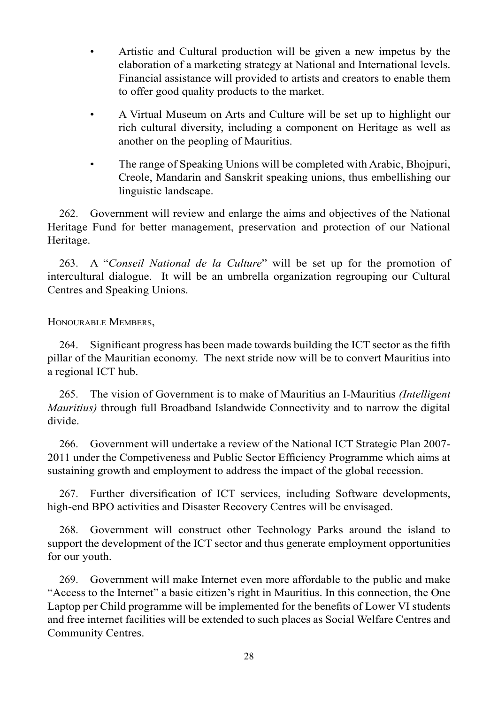- Artistic and Cultural production will be given a new impetus by the elaboration of a marketing strategy at National and International levels. Financial assistance will provided to artists and creators to enable them to offer good quality products to the market.
- A Virtual Museum on Arts and Culture will be set up to highlight our rich cultural diversity, including a component on Heritage as well as another on the peopling of Mauritius.
- The range of Speaking Unions will be completed with Arabic, Bhojpuri, Creole, Mandarin and Sanskrit speaking unions, thus embellishing our linguistic landscape.

262. Government will review and enlarge the aims and objectives of the National Heritage Fund for better management, preservation and protection of our National Heritage.

263. A "*Conseil National de la Culture*" will be set up for the promotion of intercultural dialogue. It will be an umbrella organization regrouping our Cultural Centres and Speaking Unions.

Honourable Members,

264. Significant progress has been made towards building the ICT sector as the fifth pillar of the Mauritian economy. The next stride now will be to convert Mauritius into a regional ICT hub.

265. The vision of Government is to make of Mauritius an I-Mauritius *(Intelligent Mauritius)* through full Broadband Islandwide Connectivity and to narrow the digital divide.

266. Government will undertake a review of the National ICT Strategic Plan 2007- 2011 under the Competiveness and Public Sector Efficiency Programme which aims at sustaining growth and employment to address the impact of the global recession.

267. Further diversification of ICT services, including Software developments, high-end BPO activities and Disaster Recovery Centres will be envisaged.

268. Government will construct other Technology Parks around the island to support the development of the ICT sector and thus generate employment opportunities for our youth.

269. Government will make Internet even more affordable to the public and make "Access to the Internet" a basic citizen's right in Mauritius. In this connection, the One Laptop per Child programme will be implemented for the benefits of Lower VI students and free internet facilities will be extended to such places as Social Welfare Centres and Community Centres.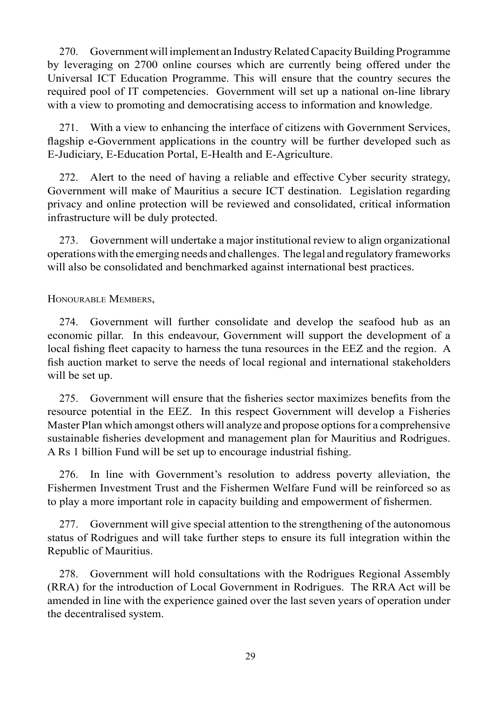270. Government will implement an Industry Related Capacity Building Programme by leveraging on 2700 online courses which are currently being offered under the Universal ICT Education Programme. This will ensure that the country secures the required pool of IT competencies. Government will set up a national on-line library with a view to promoting and democratising access to information and knowledge.

271. With a view to enhancing the interface of citizens with Government Services, flagship e-Government applications in the country will be further developed such as E-Judiciary, E-Education Portal, E-Health and E-Agriculture.

272. Alert to the need of having a reliable and effective Cyber security strategy, Government will make of Mauritius a secure ICT destination. Legislation regarding privacy and online protection will be reviewed and consolidated, critical information infrastructure will be duly protected.

273. Government will undertake a major institutional review to align organizational operationswith the emerging needs and challenges. The legal and regulatory frameworks will also be consolidated and benchmarked against international best practices.

Honourable Members,

274. Government will further consolidate and develop the seafood hub as an economic pillar. In this endeavour, Government will support the development of a local fishing fleet capacity to harness the tuna resources in the EEZ and the region. A fish auction market to serve the needs of local regional and international stakeholders will be set up.

275. Government will ensure that the fisheries sector maximizes benefits from the resource potential in the EEZ. In this respect Government will develop a Fisheries Master Plan which amongst others will analyze and propose options for a comprehensive sustainable fisheries development and management plan for Mauritius and Rodrigues. A Rs 1 billion Fund will be set up to encourage industrial fishing.

276. In line with Government's resolution to address poverty alleviation, the Fishermen Investment Trust and the Fishermen Welfare Fund will be reinforced so as to play a more important role in capacity building and empowerment of fishermen.

277. Government will give special attention to the strengthening of the autonomous status of Rodrigues and will take further steps to ensure its full integration within the Republic of Mauritius.

278. Government will hold consultations with the Rodrigues Regional Assembly (RRA) for the introduction of Local Government in Rodrigues. The RRA Act will be amended in line with the experience gained over the last seven years of operation under the decentralised system.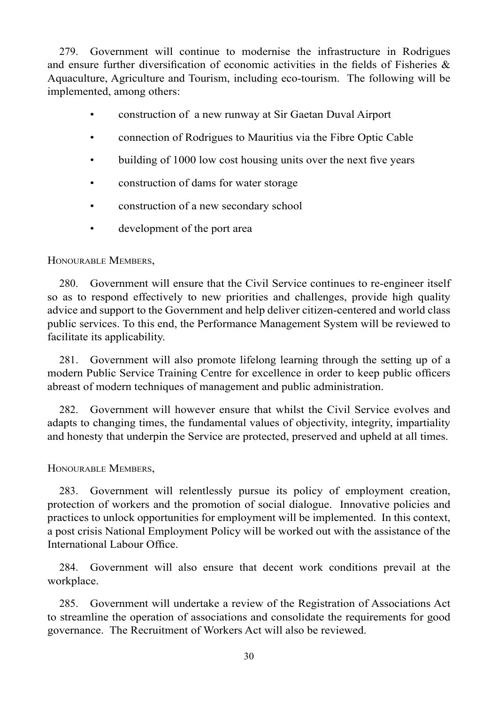279. Government will continue to modernise the infrastructure in Rodrigues and ensure further diversification of economic activities in the fields of Fisheries & Aquaculture, Agriculture and Tourism, including eco-tourism. The following will be implemented, among others:

- construction of a new runway at Sir Gaetan Duval Airport
- connection of Rodrigues to Mauritius via the Fibre Optic Cable
- building of 1000 low cost housing units over the next five years
- construction of dams for water storage
- construction of a new secondary school
- development of the port area

#### Honourable Members,

280. Government will ensure that the Civil Service continues to re-engineer itself so as to respond effectively to new priorities and challenges, provide high quality advice and support to the Government and help deliver citizen-centered and world class public services. To this end, the Performance Management System will be reviewed to facilitate its applicability.

281. Government will also promote lifelong learning through the setting up of a modern Public Service Training Centre for excellence in order to keep public officers abreast of modern techniques of management and public administration.

282. Government will however ensure that whilst the Civil Service evolves and adapts to changing times, the fundamental values of objectivity, integrity, impartiality and honesty that underpin the Service are protected, preserved and upheld at all times.

Honourable Members,

283. Government will relentlessly pursue its policy of employment creation, protection of workers and the promotion of social dialogue. Innovative policies and practices to unlock opportunities for employment will be implemented. In this context, a post crisis National Employment Policy will be worked out with the assistance of the International Labour Office.

284. Government will also ensure that decent work conditions prevail at the workplace.

285. Government will undertake a review of the Registration of Associations Act to streamline the operation of associations and consolidate the requirements for good governance. The Recruitment of Workers Act will also be reviewed.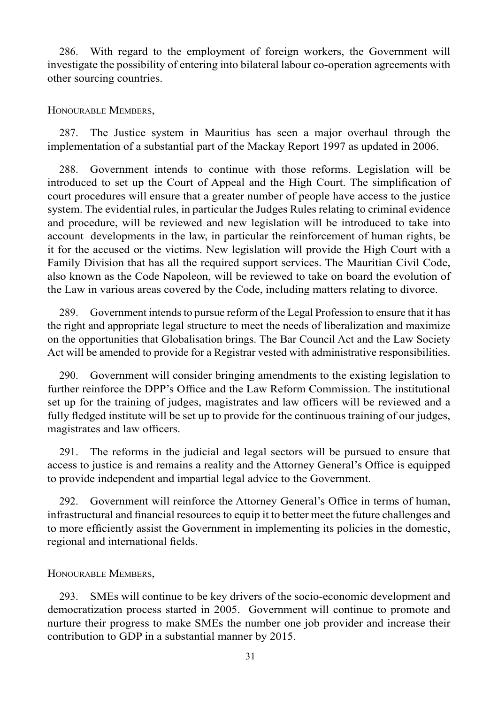286. With regard to the employment of foreign workers, the Government will investigate the possibility of entering into bilateral labour co-operation agreements with other sourcing countries.

Honourable Members,

287. The Justice system in Mauritius has seen a major overhaul through the implementation of a substantial part of the Mackay Report 1997 as updated in 2006.

288. Government intends to continue with those reforms. Legislation will be introduced to set up the Court of Appeal and the High Court. The simplification of court procedures will ensure that a greater number of people have access to the justice system. The evidential rules, in particular the Judges Rules relating to criminal evidence and procedure, will be reviewed and new legislation will be introduced to take into account developments in the law, in particular the reinforcement of human rights, be it for the accused or the victims. New legislation will provide the High Court with a Family Division that has all the required support services. The Mauritian Civil Code, also known as the Code Napoleon, will be reviewed to take on board the evolution of the Law in various areas covered by the Code, including matters relating to divorce.

289. Government intends to pursue reform of the Legal Profession to ensure that it has the right and appropriate legal structure to meet the needs of liberalization and maximize on the opportunities that Globalisation brings. The Bar Council Act and the Law Society Act will be amended to provide for a Registrar vested with administrative responsibilities.

290. Government will consider bringing amendments to the existing legislation to further reinforce the DPP's Office and the Law Reform Commission. The institutional set up for the training of judges, magistrates and law officers will be reviewed and a fully fledged institute will be set up to provide for the continuous training of our judges, magistrates and law officers.

291. The reforms in the judicial and legal sectors will be pursued to ensure that access to justice is and remains a reality and the Attorney General's Office is equipped to provide independent and impartial legal advice to the Government.

292. Government will reinforce the Attorney General's Office in terms of human, infrastructural and financial resources to equip it to better meet the future challenges and to more efficiently assist the Government in implementing its policies in the domestic, regional and international fields.

#### Honourable Members,

293. SMEs will continue to be key drivers of the socio-economic development and democratization process started in 2005. Government will continue to promote and nurture their progress to make SMEs the number one job provider and increase their contribution to GDP in a substantial manner by 2015.